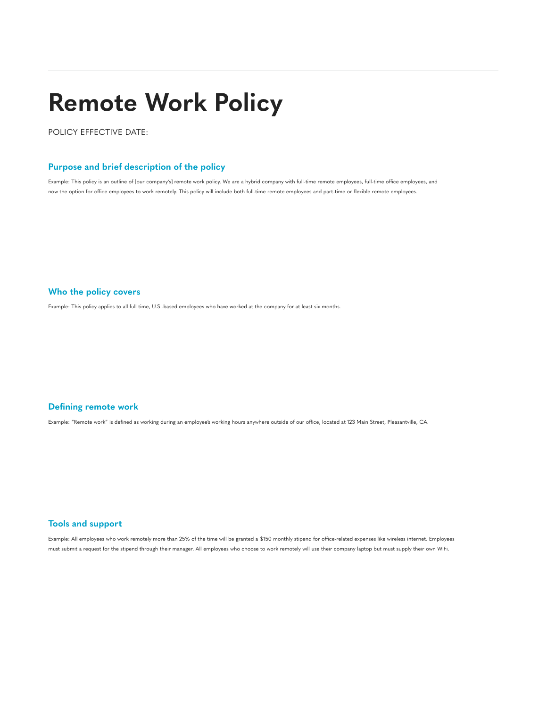# **Remote Work Policy**

POLICY EFFECTIVE DATE:

# **Purpose and brief description of the policy**

Example: This policy is an outline of [our company's] remote work policy. We are a hybrid company with full-time remote employees, full-time office employees, and now the option for office employees to work remotely. This policy will include both full-time remote employees and part-time or flexible remote employees.

**Who the policy covers**

Example: This policy applies to all full time, U.S.-based employees who have worked at the company for at least six months.

## **Defining remote work**

Example: "Remote work" is defined as working during an employee's working hours anywhere outside of our office, located at 123 Main Street, Pleasantville, CA.

### **Tools and support**

Example: All employees who work remotely more than 25% of the time will be granted a \$150 monthly stipend for office-related expenses like wireless internet. Employees must submit a request for the stipend through their manager. All employees who choose to work remotely will use their company laptop but must supply their own WiFi.